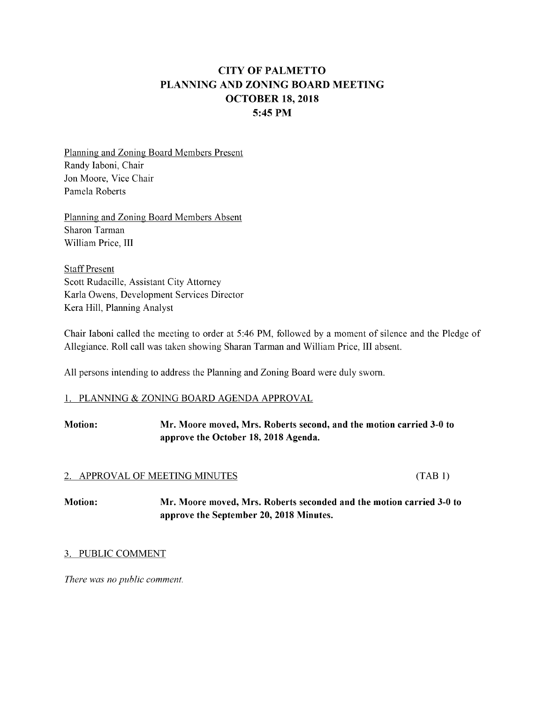# CITYOFPALMETTO PLANNING AND ZONING BOARD MEETING OCTOBER 18, 2018 5:45 PM

Planning and Zoning Board Members Present Randy Iaboni, Chair Jon Moore, Vice Chair Pamela Roberts

Planning and Zoning Board Members Absent Sharon Tarman William Price, III

**Staff Present** Scott Rudacille, Assistant City Attorney KarlaOwens, Development Services Director Kera Hill, Planning Analyst

Chair Iaboni called the meeting to order at 5:46 PM, followed by a moment of silence and the Pledge of Allegiance. Roll call was taken showing Sharan Tarman and William Price, III absent.

All persons intending to address the Planning and Zoning Board were duly sworn.

#### 1. PLANNING & ZONING BOARD AGENDA APPROVAL

# Motion: Mr. Moore moved, Mrs. Roberts second, and the motion carried 3-0 to approve the October 18, 2018 Agenda.

#### 2. APPROVAL OF MEETING MINUTES (TAB 1)

Motion: Mr. Moore moved, Mrs. Roberts seconded andthemotion carried 3-0to approve the September 20, 2018 Minutes.

# 3. PUBLIC COMMENT

There was no public comment.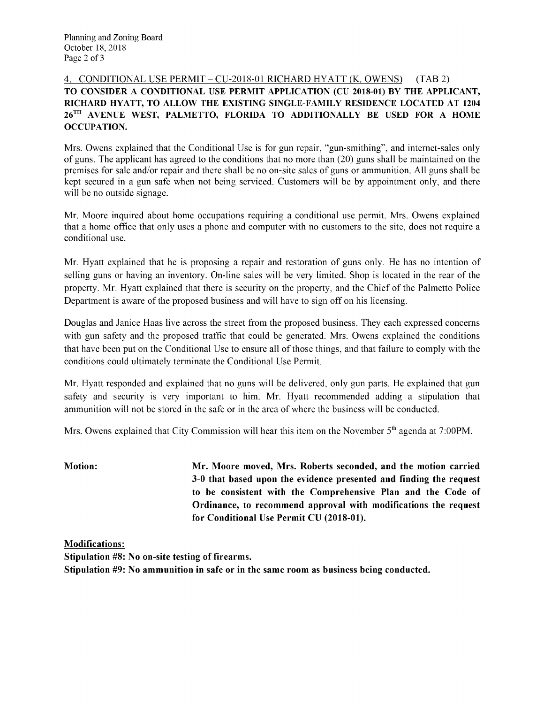## 4. CONDITIONAL USE PERMIT - CU-2018-01 RICHARD HYATT (K. OWENS) (TAB 2) TO CONSIDER A CONDITIONAL USE PERMIT APPLICATION (CU 2018-01) BY THE APPLICANT, RICHARD HYATT, TO ALLOW THE EXISTING SINGLE-FAMILY RESIDENCE LOCATED AT 1204 26<sup>TH</sup> AVENUE WEST, PALMETTO, FLORIDA TO ADDITIONALLY BE USED FOR A HOME **OCCUPATION.**

Mrs. Owens explained that the Conditional Use is for gun repair, "gun-smithing", and internet-sales only of guns. The applicant has agreed to the conditions that no more than  $(20)$  guns shall be maintained on the premises for sale and/or repair and there shall be no on-site sales of guns or ammunition. All guns shall be kept secured in a gun safe when not being serviced. Customers will be by appointment only, and there will be no outside signage.

Mr. Moore inquired about home occupations requiring a conditional use permit. Mrs. Owens explained that a home office that only uses a phone and computer with no customers to the site, does not require a conditional use.

Mr. Hyatt explained that he is proposing a repair and restoration of guns only. He has no intention of selling guns or having an inventory. On-line sales will be very limited. Shop is located in the rear of the property. Mr. Hyatt explained that there is security on the property, and the Chief of the Palmetto Police Department is aware of the proposed business and will have to sign off on his licensing.

Douglas and Janice Haas live across the street from the proposed business. They each expressed concerns with gun safety and the proposed traffic that could be generated. Mrs. Owens explained the conditions that have been put on the Conditional Use to ensure all of those things, and that failure to comply with the conditions could ultimately terminate the Conditional Use Permit.

Mr. Hyatt responded and explained that no guns will be delivered, only gun parts. He explained that gun safety and security is very important to him. Mr. Hyatt recommended adding a stipulation that ammunition will not be stored in the safe or in the area of where the business will be conducted.

Mrs. Owens explained that City Commission will hear this item on the November 5<sup>th</sup> agenda at 7:00PM.

**Motion:** Mr. Moore moved, Mrs. Roberts seconded, and the motion carried 3-0 that based upon the evidence presented and finding the request to be consistent with the Comprehensive Plan and the Code of Ordinance, to recommend approval with modifications the request for Conditional Use Permit CU (2018-01).

**Modifications:** Stipulation #8: No on-site testing of firearms. Stipulation #9: No ammunition in safe or in the same room as business being conducted.